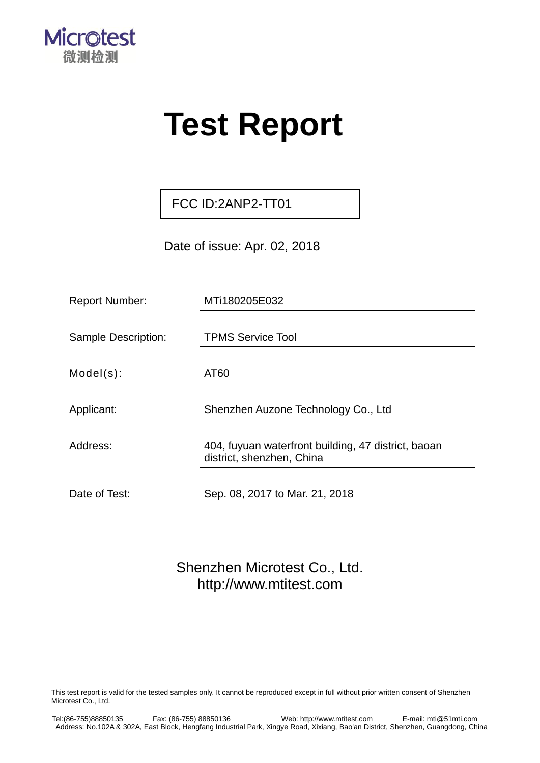

# **Test Report**

FCC ID:2ANP2-TT01

Date of issue: Apr. 02, 2018

| <b>Report Number:</b>      | MTi180205E032                                                                    |
|----------------------------|----------------------------------------------------------------------------------|
|                            |                                                                                  |
| <b>Sample Description:</b> | <b>TPMS Service Tool</b>                                                         |
| $Model(s)$ :               | AT60                                                                             |
|                            |                                                                                  |
| Applicant:                 | Shenzhen Auzone Technology Co., Ltd                                              |
|                            |                                                                                  |
| Address:                   | 404, fuyuan waterfront building, 47 district, baoan<br>district, shenzhen, China |
|                            |                                                                                  |
| Date of Test:              | Sep. 08, 2017 to Mar. 21, 2018                                                   |

Shenzhen Microtest Co., Ltd. [http://www.mtitest.com](http://www.mtitest.com/)

This test report is valid for the tested samples only. It cannot be reproduced except in full without prior written consent of Shenzhen Microtest Co., Ltd.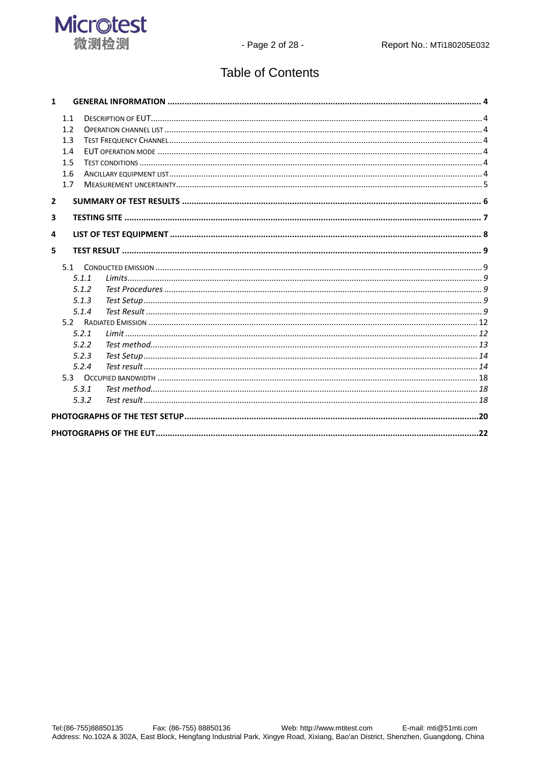

# **Table of Contents**

| 1.1<br>1.2<br>1.3<br>1.4<br>1.5<br>1.6<br>1.7<br>$\overline{2}$<br>3<br>5<br>5.1<br>5.1.1<br>5.1.2<br>5.1.3<br>5.1.4<br>5.2.1<br>5.2.2<br>5.2.3<br>5.2.4<br>5.3 ОССИРІЕД ВА ЮР ДО ПИСАДИ ПО ПОЛЬГА В ДОССИРНОГО ПОЛЬГА В ДОССИРНОГО ПОЛЬГА В ДЕ ПО ПОЛЬГА В ДОССИРНОГО ПОЛ<br>5.3.1<br>5.3.2 | $\mathbf{1}$ |  |  |
|----------------------------------------------------------------------------------------------------------------------------------------------------------------------------------------------------------------------------------------------------------------------------------------------|--------------|--|--|
|                                                                                                                                                                                                                                                                                              |              |  |  |
|                                                                                                                                                                                                                                                                                              |              |  |  |
|                                                                                                                                                                                                                                                                                              |              |  |  |
|                                                                                                                                                                                                                                                                                              |              |  |  |
|                                                                                                                                                                                                                                                                                              |              |  |  |
|                                                                                                                                                                                                                                                                                              |              |  |  |
|                                                                                                                                                                                                                                                                                              |              |  |  |
|                                                                                                                                                                                                                                                                                              |              |  |  |
|                                                                                                                                                                                                                                                                                              |              |  |  |
|                                                                                                                                                                                                                                                                                              |              |  |  |
|                                                                                                                                                                                                                                                                                              | 4            |  |  |
|                                                                                                                                                                                                                                                                                              |              |  |  |
|                                                                                                                                                                                                                                                                                              |              |  |  |
|                                                                                                                                                                                                                                                                                              |              |  |  |
|                                                                                                                                                                                                                                                                                              |              |  |  |
|                                                                                                                                                                                                                                                                                              |              |  |  |
|                                                                                                                                                                                                                                                                                              |              |  |  |
|                                                                                                                                                                                                                                                                                              |              |  |  |
|                                                                                                                                                                                                                                                                                              |              |  |  |
|                                                                                                                                                                                                                                                                                              |              |  |  |
|                                                                                                                                                                                                                                                                                              |              |  |  |
|                                                                                                                                                                                                                                                                                              |              |  |  |
|                                                                                                                                                                                                                                                                                              |              |  |  |
|                                                                                                                                                                                                                                                                                              |              |  |  |
|                                                                                                                                                                                                                                                                                              |              |  |  |
|                                                                                                                                                                                                                                                                                              |              |  |  |
|                                                                                                                                                                                                                                                                                              |              |  |  |
|                                                                                                                                                                                                                                                                                              |              |  |  |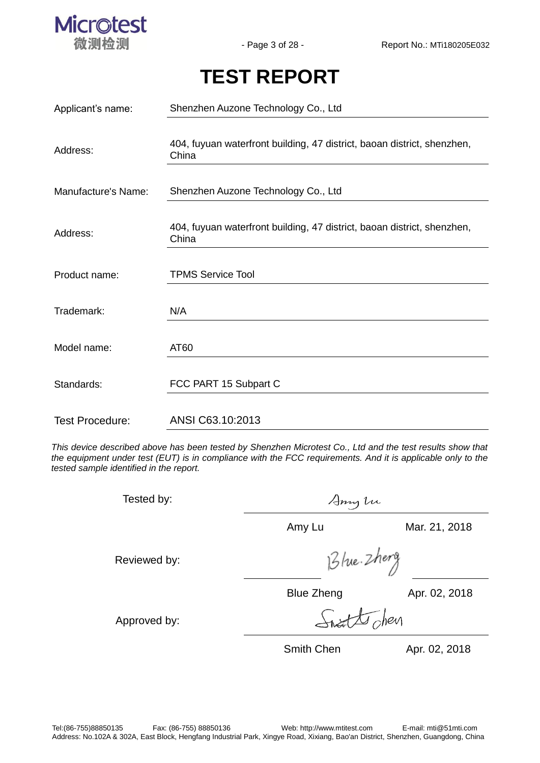

# **TEST REPORT**

| Applicant's name:      | Shenzhen Auzone Technology Co., Ltd                                              |  |  |  |  |
|------------------------|----------------------------------------------------------------------------------|--|--|--|--|
| Address:               | 404, fuyuan waterfront building, 47 district, baoan district, shenzhen,<br>China |  |  |  |  |
| Manufacture's Name:    | Shenzhen Auzone Technology Co., Ltd                                              |  |  |  |  |
| Address:               | 404, fuyuan waterfront building, 47 district, baoan district, shenzhen,<br>China |  |  |  |  |
| Product name:          | <b>TPMS Service Tool</b>                                                         |  |  |  |  |
| Trademark:             | N/A                                                                              |  |  |  |  |
| Model name:            | AT60                                                                             |  |  |  |  |
| Standards:             | FCC PART 15 Subpart C                                                            |  |  |  |  |
| <b>Test Procedure:</b> | ANSI C63.10:2013                                                                 |  |  |  |  |

*This device described above has been tested by Shenzhen Microtest Co., Ltd and the test results show that the equipment under test (EUT) is in compliance with the FCC requirements. And it is applicable only to the tested sample identified in the report.*

| Tested by:   | Anny tu           |               |  |
|--------------|-------------------|---------------|--|
|              | Amy Lu            | Mar. 21, 2018 |  |
| Reviewed by: | Blue. Zheng       |               |  |
|              | <b>Blue Zheng</b> | Apr. 02, 2018 |  |
| Approved by: | sheart the chevr  |               |  |
|              | <b>Smith Chen</b> | Apr. 02, 2018 |  |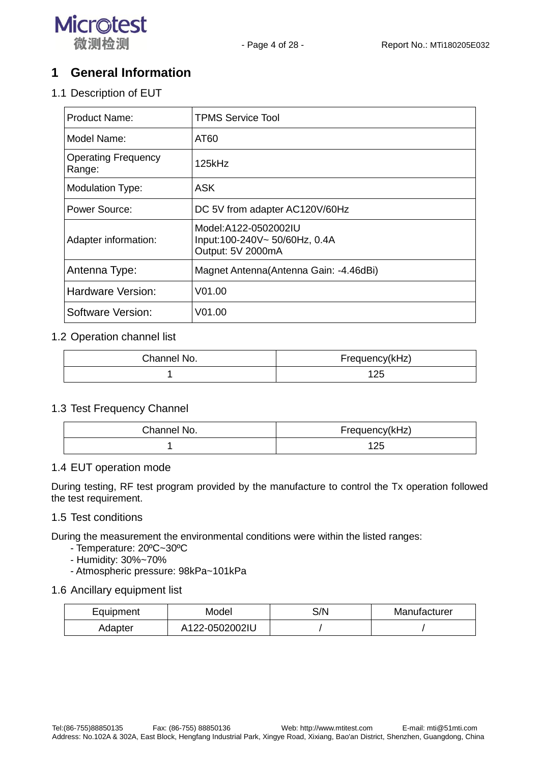

## **1 General Information**

1.1 Description of EUT

| <b>Product Name:</b>                 | <b>TPMS Service Tool</b>                                                   |
|--------------------------------------|----------------------------------------------------------------------------|
| Model Name:                          | AT60                                                                       |
| <b>Operating Frequency</b><br>Range: | 125kHz                                                                     |
| <b>Modulation Type:</b>              | <b>ASK</b>                                                                 |
| Power Source:                        | DC 5V from adapter AC120V/60Hz                                             |
| Adapter information:                 | Model:A122-0502002IU<br>Input:100-240V~ 50/60Hz, 0.4A<br>Output: 5V 2000mA |
| Antenna Type:                        | Magnet Antenna (Antenna Gain: -4.46dBi)                                    |
| Hardware Version:                    | V <sub>01.00</sub>                                                         |
| Software Version:                    | V01.00                                                                     |

#### 1.2 Operation channel list

| Channel No. | Frequency(kHz) |  |  |
|-------------|----------------|--|--|
|             | イウド            |  |  |

#### 1.3 Test Frequency Channel

| Channel No. | Frequency(kHz) |  |  |
|-------------|----------------|--|--|
|             | 125            |  |  |

#### 1.4 EUT operation mode

During testing, RF test program provided by the manufacture to control the Tx operation followed the test requirement.

#### 1.5 Test conditions

During the measurement the environmental conditions were within the listed ranges:

- Temperature: 20ºC~30ºC
- Humidity: 30%~70%
- Atmospheric pressure: 98kPa~101kPa

#### 1.6 Ancillary equipment list

| Equipment<br>Model |                | S/N | Manufacturer |  |
|--------------------|----------------|-----|--------------|--|
| Adapter            | A122-0502002IU |     |              |  |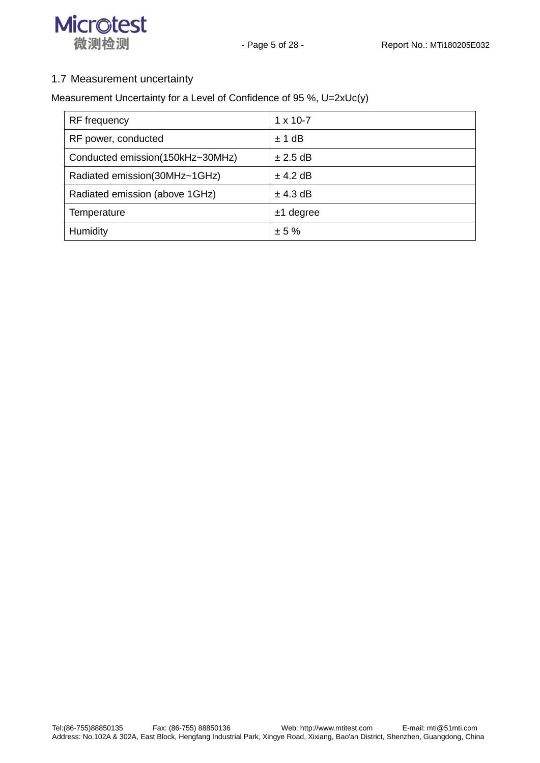



#### 1.7 Measurement uncertainty

Measurement Uncertainty for a Level of Confidence of 95 %, U=2xUc(y)

| <b>RF</b> frequency              | $1 \times 10 - 7$ |
|----------------------------------|-------------------|
| RF power, conducted              | ± 1 dB            |
| Conducted emission(150kHz~30MHz) | $\pm 2.5$ dB      |
| Radiated emission(30MHz~1GHz)    | $±$ 4.2 dB        |
| Radiated emission (above 1GHz)   | $±$ 4.3 dB        |
| Temperature                      | $±1$ degree       |
| Humidity                         | ± 5%              |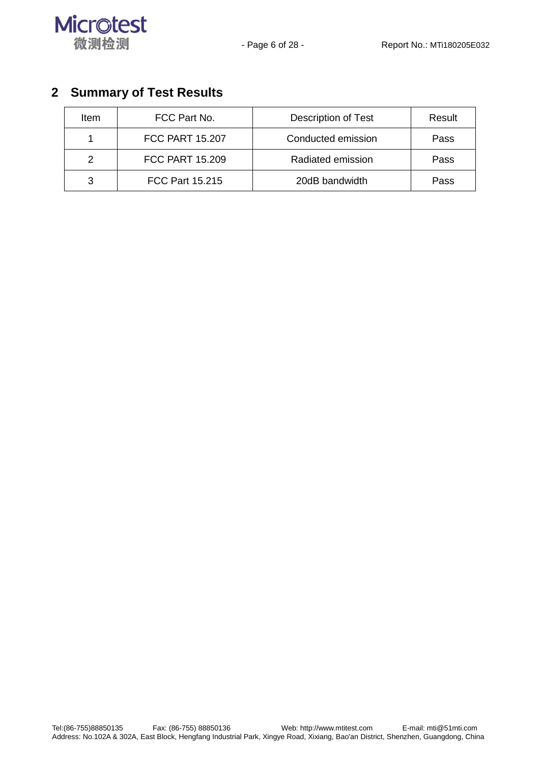



# **2 Summary of Test Results**

| ltem | FCC Part No.           | <b>Description of Test</b> |      |
|------|------------------------|----------------------------|------|
|      | <b>FCC PART 15.207</b> | Conducted emission         | Pass |
| 2    | <b>FCC PART 15,209</b> | Radiated emission          | Pass |
| 3    | <b>FCC Part 15.215</b> | 20dB bandwidth             | Pass |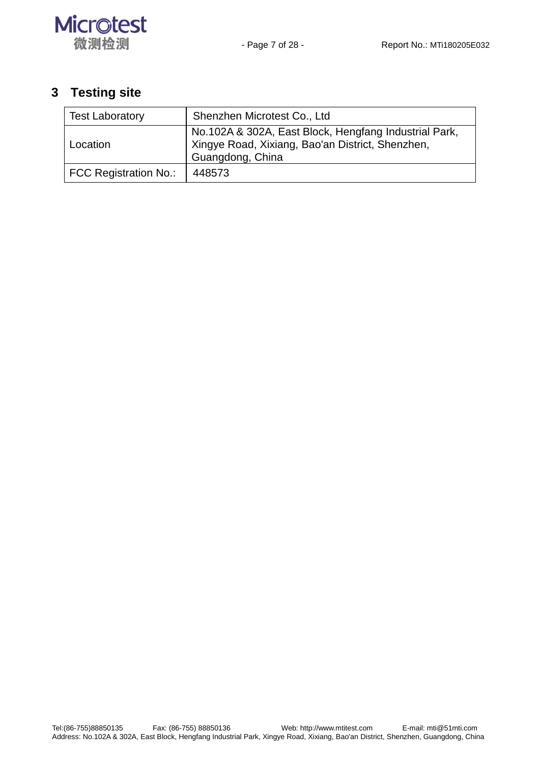

# **3 Testing site**

| <b>Test Laboratory</b>       | Shenzhen Microtest Co., Ltd                                                                                                   |
|------------------------------|-------------------------------------------------------------------------------------------------------------------------------|
| Location                     | No.102A & 302A, East Block, Hengfang Industrial Park,<br>Xingye Road, Xixiang, Bao'an District, Shenzhen,<br>Guangdong, China |
| <b>FCC Registration No.:</b> | 448573                                                                                                                        |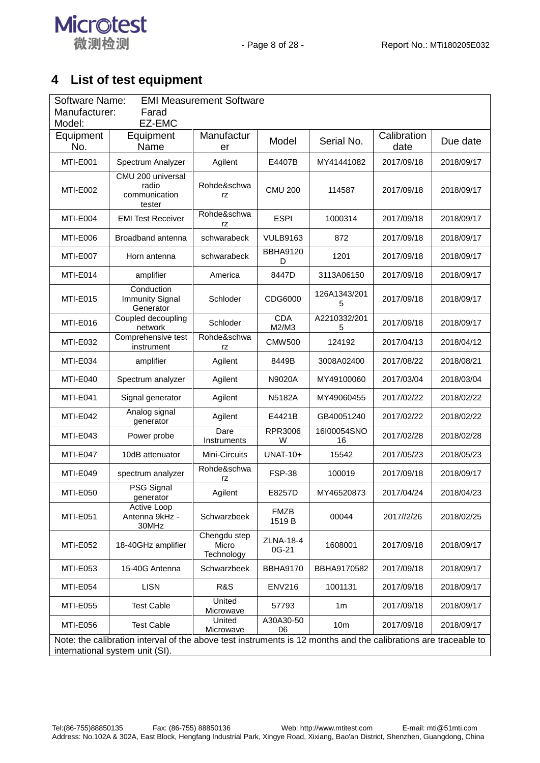

# **4 List of test equipment**

| <b>EMI Measurement Software</b><br>Software Name:<br>Manufacturer:<br>Farad                                                                        |                                                       |                                     |                       |                   |                     |            |
|----------------------------------------------------------------------------------------------------------------------------------------------------|-------------------------------------------------------|-------------------------------------|-----------------------|-------------------|---------------------|------------|
| EZ-EMC<br>Model:                                                                                                                                   |                                                       |                                     |                       |                   |                     |            |
| Equipment<br>No.                                                                                                                                   | Equipment<br>Name                                     | Manufactur<br>er                    | Model                 | Serial No.        | Calibration<br>date | Due date   |
| MTI-E001                                                                                                                                           | Spectrum Analyzer                                     | Agilent                             | E4407B                | MY41441082        | 2017/09/18          | 2018/09/17 |
| <b>MTI-E002</b>                                                                                                                                    | CMU 200 universal<br>radio<br>communication<br>tester | Rohde&schwa<br>rz                   | <b>CMU 200</b>        | 114587            | 2017/09/18          | 2018/09/17 |
| MTI-E004                                                                                                                                           | <b>EMI Test Receiver</b>                              | Rohde&schwa<br>rz                   | <b>ESPI</b>           | 1000314           | 2017/09/18          | 2018/09/17 |
| MTI-E006                                                                                                                                           | Broadband antenna                                     | schwarabeck                         | <b>VULB9163</b>       | 872               | 2017/09/18          | 2018/09/17 |
| MTI-E007                                                                                                                                           | Horn antenna                                          | schwarabeck                         | <b>BBHA9120</b><br>D  | 1201              | 2017/09/18          | 2018/09/17 |
| MTI-E014                                                                                                                                           | amplifier                                             | America                             | 8447D                 | 3113A06150        | 2017/09/18          | 2018/09/17 |
| MTI-E015                                                                                                                                           | Conduction<br><b>Immunity Signal</b><br>Generator     | Schloder                            | CDG6000               | 126A1343/201<br>5 | 2017/09/18          | 2018/09/17 |
| MTI-E016                                                                                                                                           | Coupled decoupling<br>network                         | Schloder                            | <b>CDA</b><br>M2/M3   | A2210332/201<br>5 | 2017/09/18          | 2018/09/17 |
| <b>MTI-E032</b>                                                                                                                                    | Comprehensive test<br>instrument                      | Rohde&schwa<br>rz                   | <b>CMW500</b>         | 124192            | 2017/04/13          | 2018/04/12 |
| MTI-E034                                                                                                                                           | amplifier                                             | Agilent                             | 8449B                 | 3008A02400        | 2017/08/22          | 2018/08/21 |
| MTI-E040                                                                                                                                           | Spectrum analyzer                                     | Agilent                             | N9020A                | MY49100060        | 2017/03/04          | 2018/03/04 |
| MTI-E041                                                                                                                                           | Signal generator                                      | Agilent                             | <b>N5182A</b>         | MY49060455        | 2017/02/22          | 2018/02/22 |
| MTI-E042                                                                                                                                           | Analog signal<br>generator                            | Agilent                             | E4421B                | GB40051240        | 2017/02/22          | 2018/02/22 |
| MTI-E043                                                                                                                                           | Power probe                                           | Dare<br>Instruments                 | RPR3006<br>W          | 16I00054SNO<br>16 | 2017/02/28          | 2018/02/28 |
| MTI-E047                                                                                                                                           | 10dB attenuator                                       | Mini-Circuits                       | <b>UNAT-10+</b>       | 15542             | 2017/05/23          | 2018/05/23 |
| <b>MTI-E049</b>                                                                                                                                    | spectrum analyzer                                     | Rohde&schwa<br>rz                   | <b>FSP-38</b>         | 100019            | 2017/09/18          | 2018/09/17 |
| <b>MTI-E050</b>                                                                                                                                    | PSG Signal<br>generator                               | Agilent                             | E8257D                | MY46520873        | 2017/04/24          | 2018/04/23 |
| <b>MTI-E051</b>                                                                                                                                    | Active Loop<br>Antenna 9kHz -<br>30MHz                | Schwarzbeek                         | <b>FMZB</b><br>1519 B | 00044             | 2017//2/26          | 2018/02/25 |
| <b>MTI-E052</b>                                                                                                                                    | 18-40GHz amplifier                                    | Chengdu step<br>Micro<br>Technology | ZLNA-18-4<br>0G-21    | 1608001           | 2017/09/18          | 2018/09/17 |
| MTI-E053                                                                                                                                           | 15-40G Antenna                                        | Schwarzbeek                         | <b>BBHA9170</b>       | BBHA9170582       | 2017/09/18          | 2018/09/17 |
| <b>MTI-E054</b>                                                                                                                                    | <b>LISN</b>                                           | R&S                                 | <b>ENV216</b>         | 1001131           | 2017/09/18          | 2018/09/17 |
| <b>MTI-E055</b>                                                                                                                                    | <b>Test Cable</b>                                     | United<br>Microwave                 | 57793                 | 1 <sub>m</sub>    | 2017/09/18          | 2018/09/17 |
| <b>MTI-E056</b>                                                                                                                                    | <b>Test Cable</b>                                     | United<br>Microwave                 | A30A30-50<br>06       | 10 <sub>m</sub>   | 2017/09/18          | 2018/09/17 |
| Note: the calibration interval of the above test instruments is 12 months and the calibrations are traceable to<br>international system unit (SI). |                                                       |                                     |                       |                   |                     |            |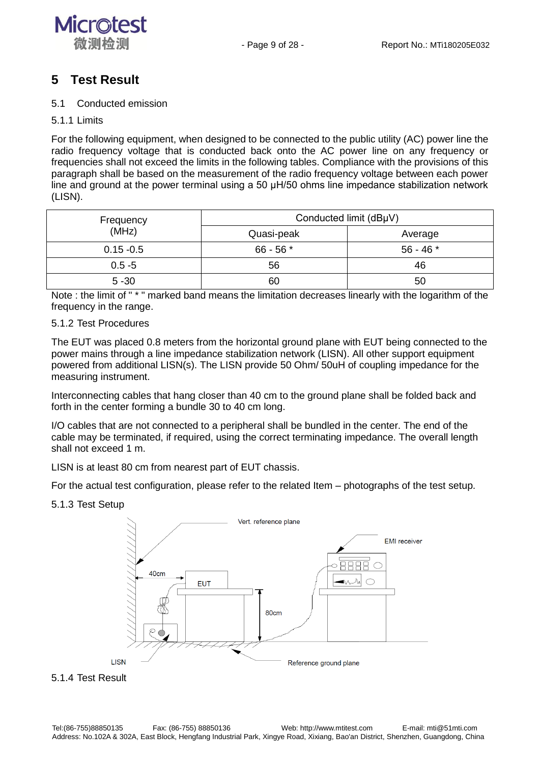

## **5 Test Result**

#### 5.1 Conducted emission

#### 5.1.1 Limits

For the following equipment, when designed to be connected to the public utility (AC) power line the radio frequency voltage that is conducted back onto the AC power line on any frequency or frequencies shall not exceed the limits in the following tables. Compliance with the provisions of this paragraph shall be based on the measurement of the radio frequency voltage between each power line and ground at the power terminal using a 50 μH/50 ohms line impedance stabilization network (LISN).

| Frequency    | Conducted limit (dBµV) |             |  |
|--------------|------------------------|-------------|--|
| (MHz)        | Quasi-peak             | Average     |  |
| $0.15 - 0.5$ | $66 - 56$ *            | $56 - 46$ * |  |
| $0.5 - 5$    | 56                     | 46          |  |
| $5 - 30$     | 60                     | 50          |  |

Note : the limit of " \* " marked band means the limitation decreases linearly with the logarithm of the frequency in the range.

#### 5.1.2 Test Procedures

The EUT was placed 0.8 meters from the horizontal ground plane with EUT being connected to the power mains through a line impedance stabilization network (LISN). All other support equipment powered from additional LISN(s). The LISN provide 50 Ohm/ 50uH of coupling impedance for the measuring instrument.

Interconnecting cables that hang closer than 40 cm to the ground plane shall be folded back and forth in the center forming a bundle 30 to 40 cm long.

I/O cables that are not connected to a peripheral shall be bundled in the center. The end of the cable may be terminated, if required, using the correct terminating impedance. The overall length shall not exceed 1 m.

LISN is at least 80 cm from nearest part of EUT chassis.

For the actual test configuration, please refer to the related Item – photographs of the test setup.

#### 5.1.3 Test Setup



#### 5.1.4 Test Result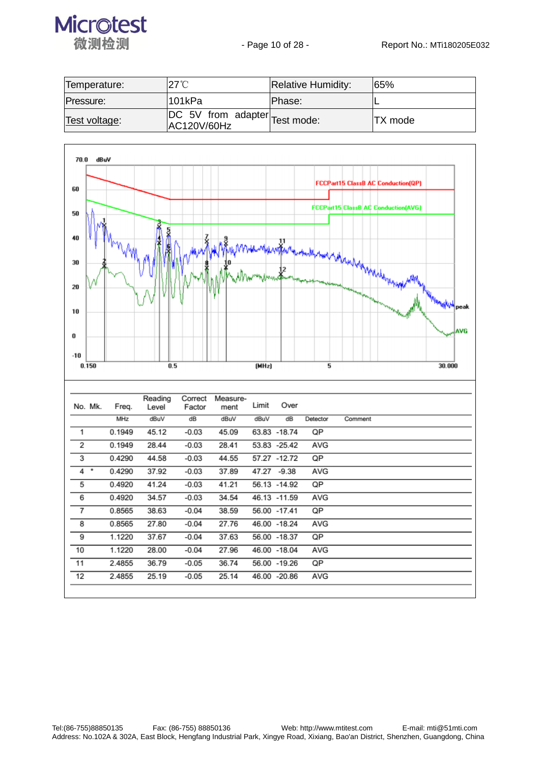

| Temperature:  | 27°C                                                           | <b>Relative Humidity:</b> | 165%     |
|---------------|----------------------------------------------------------------|---------------------------|----------|
| Pressure:     | 101kPa                                                         | IPhase:                   |          |
| Test voltage: | $\sqrt{DC}$ 5V from adapter $\sqrt{Test}$ mode:<br>AC120V/60Hz |                           | ITX mode |

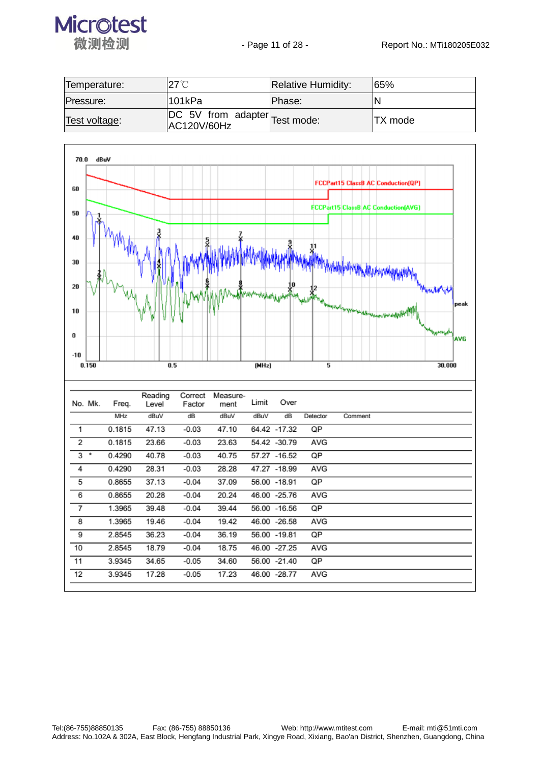

| Temperature:  | $27^\circ\!\rm{C}$                           | <b>Relative Humidity:</b> | 165%     |
|---------------|----------------------------------------------|---------------------------|----------|
| Pressure:     | 101kPa                                       | IPhase:                   |          |
| Test voltage: | DC 5V from adapter Test mode:<br>AC120V/60Hz |                           | ITX mode |

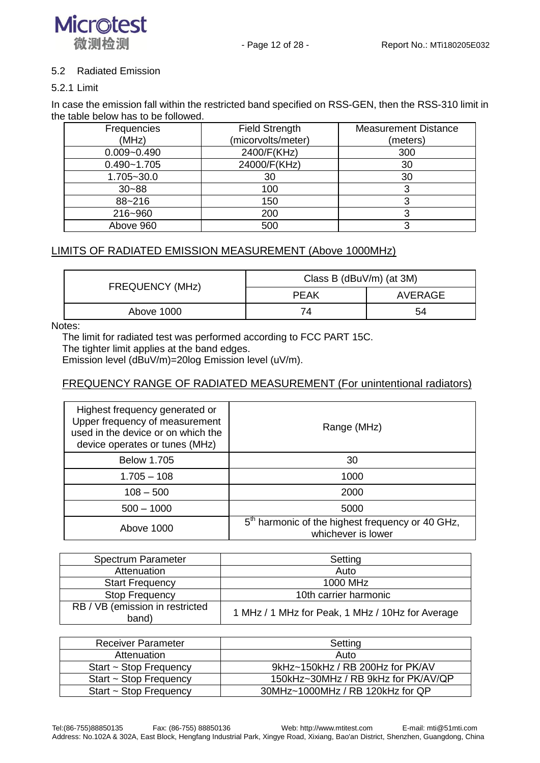

#### 5.2 Radiated Emission

#### 5.2.1 Limit

In case the emission fall within the restricted band specified on RSS-GEN, then the RSS-310 limit in the table below has to be followed.

| Frequencies     | <b>Field Strength</b> | <b>Measurement Distance</b> |
|-----------------|-----------------------|-----------------------------|
| (MHz)           | (micorvolts/meter)    | (meters)                    |
| $0.009 - 0.490$ | 2400/F(KHz)           | 300                         |
| $0.490 - 1.705$ | 24000/F(KHz)          | 30                          |
| $1.705 - 30.0$  | 30                    | 30                          |
| $30 - 88$       | 100                   |                             |
| 88~216          | 150                   |                             |
| 216~960         | 200                   |                             |
| Above 960       | 500                   |                             |

#### LIMITS OF RADIATED EMISSION MEASUREMENT (Above 1000MHz)

| <b>FREQUENCY (MHz)</b> | Class B ( $d$ Bu $V/m$ ) (at 3M) |         |  |
|------------------------|----------------------------------|---------|--|
|                        | <b>PEAK</b>                      | AVERAGE |  |
| Above 1000             | 74                               | 54      |  |

Notes:

The limit for radiated test was performed according to FCC PART 15C.

The tighter limit applies at the band edges.

Emission level (dBuV/m)=20log Emission level (uV/m).

#### FREQUENCY RANGE OF RADIATED MEASUREMENT (For unintentional radiators)

| Highest frequency generated or<br>Upper frequency of measurement<br>used in the device or on which the<br>device operates or tunes (MHz) | Range (MHz)                                                                        |  |
|------------------------------------------------------------------------------------------------------------------------------------------|------------------------------------------------------------------------------------|--|
| <b>Below 1.705</b>                                                                                                                       | 30                                                                                 |  |
| $1.705 - 108$                                                                                                                            | 1000                                                                               |  |
| $108 - 500$                                                                                                                              | 2000                                                                               |  |
| $500 - 1000$                                                                                                                             | 5000                                                                               |  |
| Above 1000                                                                                                                               | 5 <sup>th</sup> harmonic of the highest frequency or 40 GHz,<br>whichever is lower |  |

| Spectrum Parameter                       | Setting                                          |
|------------------------------------------|--------------------------------------------------|
| Attenuation                              | Auto                                             |
| <b>Start Frequency</b>                   | 1000 MHz                                         |
| <b>Stop Frequency</b>                    | 10th carrier harmonic                            |
| RB / VB (emission in restricted<br>band) | 1 MHz / 1 MHz for Peak, 1 MHz / 10Hz for Average |

| Receiver Parameter          | Setting                             |
|-----------------------------|-------------------------------------|
| Attenuation                 | Auto                                |
| Start ~ Stop Frequency      | 9kHz~150kHz / RB 200Hz for PK/AV    |
| Start $\sim$ Stop Frequency | 150kHz~30MHz / RB 9kHz for PK/AV/QP |
| Start $\sim$ Stop Frequency | 30MHz~1000MHz / RB 120kHz for QP    |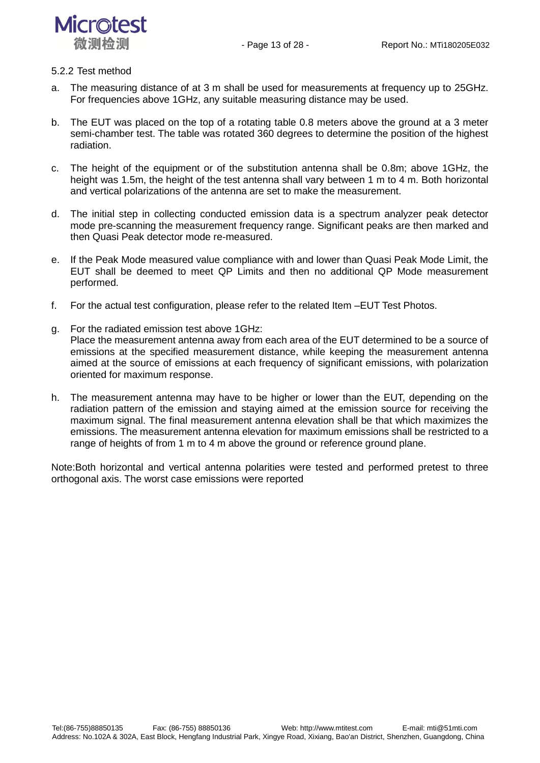



#### 5.2.2 Test method

- a. The measuring distance of at 3 m shall be used for measurements at frequency up to 25GHz. For frequencies above 1GHz, any suitable measuring distance may be used.
- b. The EUT was placed on the top of a rotating table 0.8 meters above the ground at a 3 meter semi-chamber test. The table was rotated 360 degrees to determine the position of the highest radiation.
- c. The height of the equipment or of the substitution antenna shall be 0.8m; above 1GHz, the height was 1.5m, the height of the test antenna shall vary between 1 m to 4 m. Both horizontal and vertical polarizations of the antenna are set to make the measurement.
- d. The initial step in collecting conducted emission data is a spectrum analyzer peak detector mode pre-scanning the measurement frequency range. Significant peaks are then marked and then Quasi Peak detector mode re-measured.
- e. If the Peak Mode measured value compliance with and lower than Quasi Peak Mode Limit, the EUT shall be deemed to meet QP Limits and then no additional QP Mode measurement performed.
- f. For the actual test configuration, please refer to the related Item –EUT Test Photos.
- g. For the radiated emission test above 1GHz: Place the measurement antenna away from each area of the EUT determined to be a source of emissions at the specified measurement distance, while keeping the measurement antenna aimed at the source of emissions at each frequency of significant emissions, with polarization oriented for maximum response.
- h. The measurement antenna may have to be higher or lower than the EUT, depending on the radiation pattern of the emission and staying aimed at the emission source for receiving the maximum signal. The final measurement antenna elevation shall be that which maximizes the emissions. The measurement antenna elevation for maximum emissions shall be restricted to a range of heights of from 1 m to 4 m above the ground or reference ground plane.

Note:Both horizontal and vertical antenna polarities were tested and performed pretest to three orthogonal axis. The worst case emissions were reported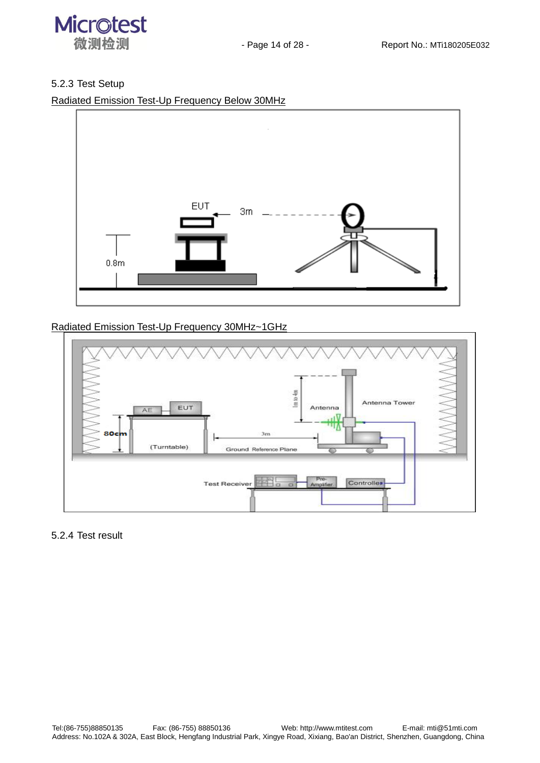

#### 5.2.3 Test Setup

Radiated Emission Test-Up Frequency Below 30MHz



#### Radiated Emission Test-Up Frequency 30MHz~1GHz



#### 5.2.4 Test result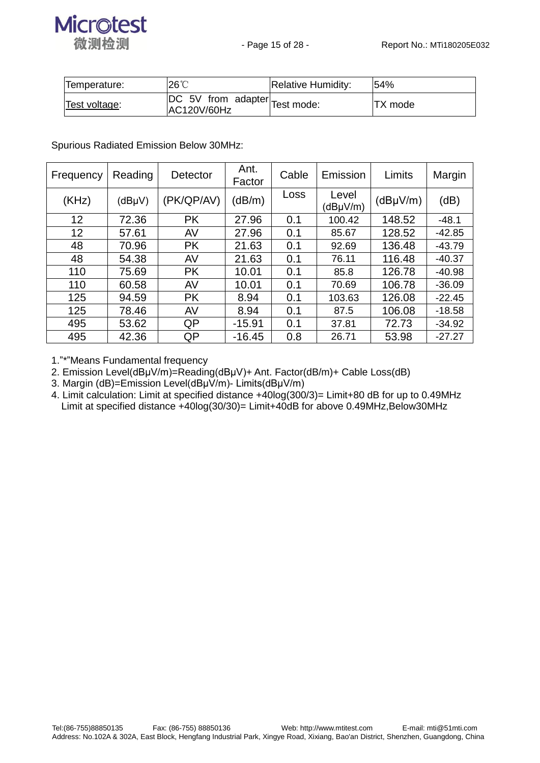

| Temperature:  | $26^{\circ}$                                 | Relative Humidity: | 54%      |
|---------------|----------------------------------------------|--------------------|----------|
| Test voltage: | DC 5V from adapter Test mode:<br>AC120V/60Hz |                    | ITX mode |

Spurious Radiated Emission Below 30MHz:

| Frequency | Reading     | Detector   | Ant.<br>Factor | Cable | Emission          | Limits        | Margin   |
|-----------|-------------|------------|----------------|-------|-------------------|---------------|----------|
| (KHz)     | $(dB\mu V)$ | (PK/QP/AV) | (dB/m)         | Loss  | Level<br>(dBµV/m) | $(dB\mu V/m)$ | (dB)     |
| 12        | 72.36       | <b>PK</b>  | 27.96          | 0.1   | 100.42            | 148.52        | $-48.1$  |
| 12        | 57.61       | AV         | 27.96          | 0.1   | 85.67             | 128.52        | $-42.85$ |
| 48        | 70.96       | <b>PK</b>  | 21.63          | 0.1   | 92.69             | 136.48        | $-43.79$ |
| 48        | 54.38       | AV         | 21.63          | 0.1   | 76.11             | 116.48        | $-40.37$ |
| 110       | 75.69       | <b>PK</b>  | 10.01          | 0.1   | 85.8              | 126.78        | $-40.98$ |
| 110       | 60.58       | AV         | 10.01          | 0.1   | 70.69             | 106.78        | $-36.09$ |
| 125       | 94.59       | <b>PK</b>  | 8.94           | 0.1   | 103.63            | 126.08        | $-22.45$ |
| 125       | 78.46       | AV         | 8.94           | 0.1   | 87.5              | 106.08        | $-18.58$ |
| 495       | 53.62       | QP         | $-15.91$       | 0.1   | 37.81             | 72.73         | $-34.92$ |
| 495       | 42.36       | QP         | $-16.45$       | 0.8   | 26.71             | 53.98         | $-27.27$ |

1."\*"Means Fundamental frequency

2. Emission Level(dBμV/m)=Reading(dBμV)+ Ant. Factor(dB/m)+ Cable Loss(dB)

3. Margin (dB)=Emission Level(dBµV/m)- Limits(dBµV/m)

4. Limit calculation: Limit at specified distance +40log(300/3)= Limit+80 dB for up to 0.49MHz Limit at specified distance +40log(30/30)= Limit+40dB for above 0.49MHz,Below30MHz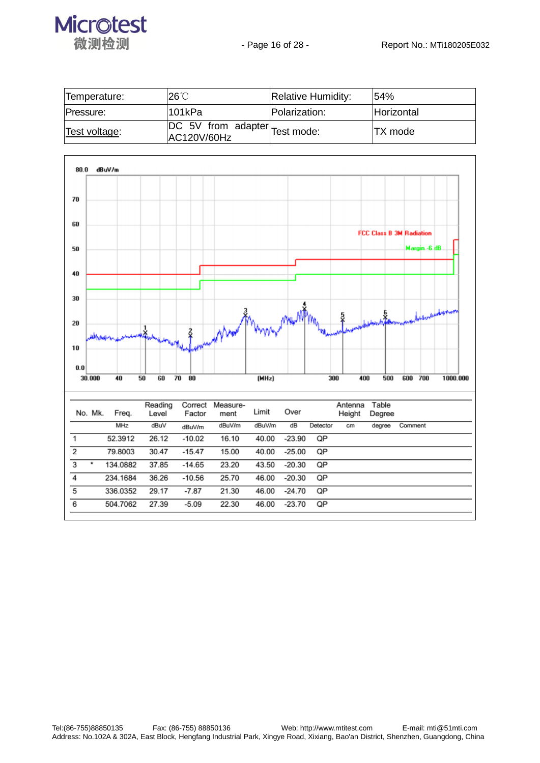

| Temperature:  | $26^{\circ}$ C                                                          | Relative Humidity: | 154%              |
|---------------|-------------------------------------------------------------------------|--------------------|-------------------|
| Pressure:     | l101kPa                                                                 | Polarization:      | <b>Horizontal</b> |
| Test voltage: | $ \overline{DC}$ 5V from adapter $\overline{Test}$ mode:<br>AC120V/60Hz |                    | <b>ITX</b> mode   |

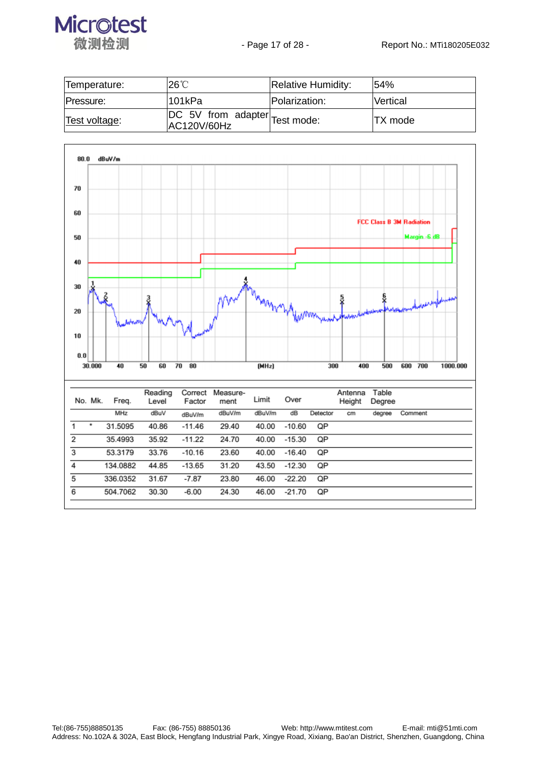

| Temperature:  | $26^{\circ}$ C                               | <b>Relative Humidity:</b> | 154%      |
|---------------|----------------------------------------------|---------------------------|-----------|
| Pressure:     | 101kPa                                       | Polarization:             | lVertical |
| Test voltage: | DC 5V from adapter Test mode:<br>AC120V/60Hz |                           | ITX mode  |

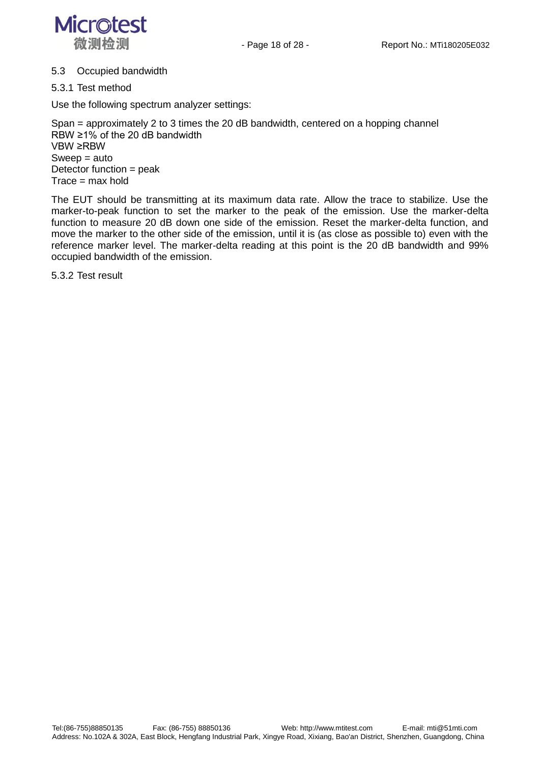

#### 5.3 Occupied bandwidth

5.3.1 Test method

Use the following spectrum analyzer settings:

Span = approximately 2 to 3 times the 20 dB bandwidth, centered on a hopping channel RBW ≥1% of the 20 dB bandwidth VBW ≥RBW Sweep = auto Detector function = peak  $Trace = max$  hold

The EUT should be transmitting at its maximum data rate. Allow the trace to stabilize. Use the marker-to-peak function to set the marker to the peak of the emission. Use the marker-delta function to measure 20 dB down one side of the emission. Reset the marker-delta function, and move the marker to the other side of the emission, until it is (as close as possible to) even with the reference marker level. The marker-delta reading at this point is the 20 dB bandwidth and 99% occupied bandwidth of the emission.

5.3.2 Test result